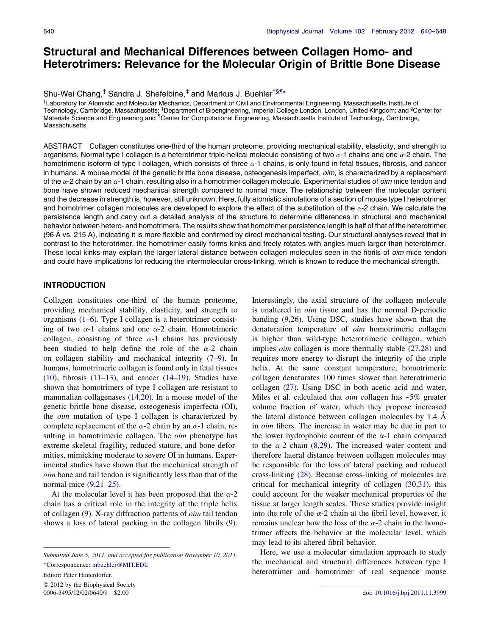# Structural and Mechanical Differences between Collagen Homo- and Heterotrimers: Relevance for the Molecular Origin of Brittle Bone Disease

Shu-Wei Chang,<sup>†</sup> Sandra J. Shefelbine,<sup>‡</sup> and Markus J. Buehler<sup>†§¶</sup>\*

† Laboratory for Atomistic and Molecular Mechanics, Department of Civil and Environmental Engineering, Massachusetts Institute of Technology, Cambridge, Massachusetts; <sup>‡</sup>Department of Bioengineering, Imperial College London, London, United Kingdom; and <sup>§</sup>Center for Materials Science and Engineering and "Center for Computational Engineering, Massachusetts Institute of Technology, Cambridge, **Massachusetts** 

ABSTRACT Collagen constitutes one-third of the human proteome, providing mechanical stability, elasticity, and strength to organisms. Normal type I collagen is a heterotrimer triple-helical molecule consisting of two  $\alpha$ -1 chains and one  $\alpha$ -2 chain. The homotrimeric isoform of type I collagen, which consists of three  $\alpha$ -1 chains, is only found in fetal tissues, fibrosis, and cancer in humans. A mouse model of the genetic brittle bone disease, osteogenesis imperfect, *oim*, is characterized by a replacement of the  $\alpha$ -2 chain by an  $\alpha$ -1 chain, resulting also in a homotrimer collagen molecule. Experimental studies of *oim* mice tendon and bone have shown reduced mechanical strength compared to normal mice. The relationship between the molecular content and the decrease in strength is, however, still unknown. Here, fully atomistic simulations of a section of mouse type I heterotrimer and homotrimer collagen molecules are developed to explore the effect of the substitution of the  $\alpha$ -2 chain. We calculate the persistence length and carry out a detailed analysis of the structure to determine differences in structural and mechanical behavior between hetero- and homotrimers. The results show that homotrimer persistence length is half of that of the heterotrimer (96 A vs. 215 A), indicating it is more flexible and confirmed by direct mechanical testing. Our structural analyses reveal that in contrast to the heterotrimer, the homotrimer easily forms kinks and freely rotates with angles much larger than heterotrimer. These local kinks may explain the larger lateral distance between collagen molecules seen in the fibrils of oim mice tendon and could have implications for reducing the intermolecular cross-linking, which is known to reduce the mechanical strength.

# INTRODUCTION

Collagen constitutes one-third of the human proteome, providing mechanical stability, elasticity, and strength to organisms ([1–6\)](#page-7-0). Type I collagen is a heterotrimer consisting of two  $\alpha$ -1 chains and one  $\alpha$ -2 chain. Homotrimeric collagen, consisting of three  $\alpha$ -1 chains has previously been studied to help define the role of the  $\alpha$ -2 chain on collagen stability and mechanical integrity [\(7–9](#page-7-0)). In humans, homotrimeric collagen is found only in fetal tissues ([10\)](#page-7-0), fibrosis  $(11-13)$ , and cancer  $(14-19)$ . Studies have shown that homotrimers of type I collagen are resistant to mammalian collagenases [\(14,20\)](#page-7-0). In a mouse model of the genetic brittle bone disease, osteogenesis imperfecta (OI), the oim mutation of type I collagen is characterized by complete replacement of the  $\alpha$ -2 chain by an  $\alpha$ -1 chain, resulting in homotrimeric collagen. The *oim* phenotype has extreme skeletal fragility, reduced stature, and bone deformities, mimicking moderate to severe OI in humans. Experimental studies have shown that the mechanical strength of oim bone and tail tendon is significantly less than that of the normal mice ([9,21–25](#page-7-0)).

At the molecular level it has been proposed that the  $\alpha$ -2 chain has a critical role in the integrity of the triple helix of collagen [\(9\)](#page-7-0). X-ray diffraction patterns of oim tail tendon shows a loss of lateral packing in the collagen fibrils ([9\)](#page-7-0).

Editor: Peter Hinterdorfer.

 2012 by the Biophysical Society 0006-3495/12/02/0640/9 \$2.00 doi: [10.1016/j.bpj.2011.11.3999](http://dx.doi.org/10.1016/j.bpj.2011.11.3999)

Interestingly, the axial structure of the collagen molecule is unaltered in oim tissue and has the normal D-periodic banding [\(9,26\)](#page-7-0). Using DSC, studies have shown that the denaturation temperature of oim homotrimeric collagen is higher than wild-type heterotrimeric collagen, which implies *oim* collagen is more thermally stable ([27,28](#page-7-0)) and requires more energy to disrupt the integrity of the triple helix. At the same constant temperature, homotrimeric collagen denaturates 100 times slower than heterotrimeric collagen [\(27](#page-7-0)). Using DSC in both acetic acid and water, Miles et al. calculated that  $oim$  collagen has  $~5\%$  greater volume fraction of water, which they propose increased the lateral distance between collagen molecules by  $1.4 \text{ Å}$ in oim fibers. The increase in water may be due in part to the lower hydrophobic content of the  $\alpha$ -1 chain compared to the  $\alpha$ -2 chain [\(8,29\)](#page-7-0). The increased water content and therefore lateral distance between collagen molecules may be responsible for the loss of lateral packing and reduced cross-linking [\(28](#page-7-0)). Because cross-linking of molecules are critical for mechanical integrity of collagen [\(30,31\)](#page-7-0), this could account for the weaker mechanical properties of the tissue at larger length scales. These studies provide insight into the role of the  $\alpha$ -2 chain at the fibril level, however, it remains unclear how the loss of the  $\alpha$ -2 chain in the homotrimer affects the behavior at the molecular level, which may lead to its altered fibril behavior.

Here, we use a molecular simulation approach to study the mechanical and structural differences between type I heterotrimer and homotrimer of real sequence mouse

Submitted June 5, 2011, and accepted for publication November 10, 2011. \*Correspondence: [mbuehler@MIT.EDU](mailto:mbuehler@MIT.EDU)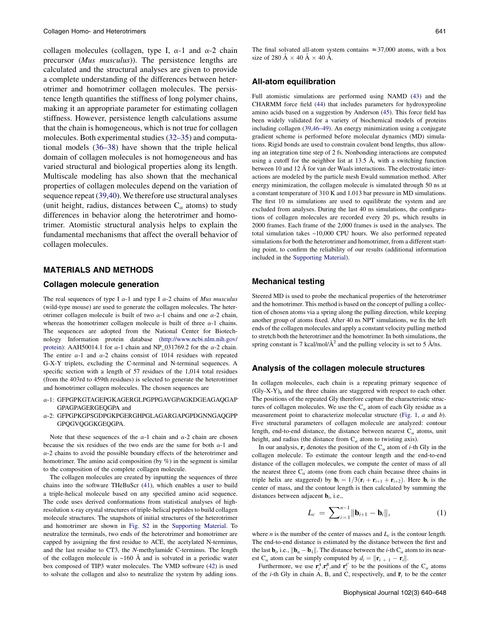collagen molecules (collagen, type I,  $\alpha$ -1 and  $\alpha$ -2 chain precursor (Mus musculus)). The persistence lengths are calculated and the structural analyses are given to provide a complete understanding of the differences between heterotrimer and homotrimer collagen molecules. The persistence length quantifies the stiffness of long polymer chains, making it an appropriate parameter for estimating collagen stiffness. However, persistence length calculations assume that the chain is homogeneous, which is not true for collagen molecules. Both experimental studies ([32–35\)](#page-7-0) and computational models [\(36–38](#page-7-0)) have shown that the triple helical domain of collagen molecules is not homogeneous and has varied structural and biological properties along its length. Multiscale modeling has also shown that the mechanical properties of collagen molecules depend on the variation of sequence repeat [\(39,40\)](#page-7-0). We therefore use structural analyses (unit height, radius, distances between  $C_\alpha$  atoms) to study differences in behavior along the heterotrimer and homotrimer. Atomistic structural analysis helps to explain the fundamental mechanisms that affect the overall behavior of collagen molecules.

# MATERIALS AND METHODS

#### Collagen molecule generation

The real sequences of type I  $\alpha$ -1 and type I  $\alpha$ -2 chains of *Mus musculus* (wild-type mouse) are used to generate the collagen molecules. The heterotrimer collagen molecule is built of two  $\alpha$ -1 chains and one  $\alpha$ -2 chain, whereas the homotrimer collagen molecule is built of three  $\alpha$ -1 chains. The sequences are adopted from the National Center for Biotechnology Information protein database [\(http://www.ncbi.nlm.nih.gov/](http://www.ncbi.nlm.nih.gov/protein) [protein](http://www.ncbi.nlm.nih.gov/protein)): AAH50014.1 for  $\alpha$ -1 chain and NP\_031769.2 for the  $\alpha$ -2 chain. The entire  $\alpha$ -1 and  $\alpha$ -2 chains consist of 1014 residues with repeated G-X-Y triplets, excluding the C-terminal and N-terminal sequences. A specific section with a length of 57 residues of the 1,014 total residues (from the 403rd to 459th residues) is selected to generate the heterotrimer and homotrimer collagen molecules. The chosen sequences are

- a-1: GFPGPKGTAGEPGKAGERGLPGPPGAVGPAGKDGEAGAQGAP GPAGPAGERGEQGPA and
- a-2: GFPGPKGPSGDPGKPGERGHPGLAGARGAPGPDGNNGAQGPP GPQGVQGGKGEQGPA.

Note that these sequences of the  $\alpha$ -1 chain and  $\alpha$ -2 chain are chosen because the six residues of the two ends are the same for both  $\alpha$ -1 and  $\alpha$ -2 chains to avoid the possible boundary effects of the heterotrimer and homotrimer. The amino acid composition (by  $\%$ ) in the segment is similar to the composition of the complete collagen molecule.

The collagen molecules are created by inputting the sequences of three chains into the software THeBuScr ([41\)](#page-8-0), which enables a user to build a triple-helical molecule based on any specified amino acid sequence. The code uses derived conformations from statistical analyses of highresolution x-ray crystal structures of triple-helical peptides to build collagen molecule structures. The snapshots of initial structures of the heterotrimer and homotrimer are shown in [Fig. S2](#page-6-0) in the [Supporting Material](#page-6-0). To neutralize the terminals, two ends of the heterotrimer and homotrimer are capped by assigning the first residue to ACE, the acetylated N-terminus, and the last residue to CT3, the N-methylamide C-terminus. The length of the collagen molecule is  $~160$  Å and is solvated in a periodic water box composed of TIP3 water molecules. The VMD software ([42\)](#page-8-0) is used to solvate the collagen and also to neutralize the system by adding ions. The final solvated all-atom system contains  $\approx 37,000$  atoms, with a box size of 280 Å  $\times$  40 Å  $\times$  40 Å.

## All-atom equilibration

Full atomistic simulations are performed using NAMD [\(43](#page-8-0)) and the CHARMM force field ([44\)](#page-8-0) that includes parameters for hydroxyproline amino acids based on a suggestion by Anderson ([45\)](#page-8-0). This force field has been widely validated for a variety of biochemical models of proteins including collagen [\(39,46–49\)](#page-7-0). An energy minimization using a conjugate gradient scheme is performed before molecular dynamics (MD) simulations. Rigid bonds are used to constrain covalent bond lengths, thus allowing an integration time step of 2 fs. Nonbonding interactions are computed using a cutoff for the neighbor list at  $13.5$  Å, with a switching function between 10 and 12 Å for van der Waals interactions. The electrostatic interactions are modeled by the particle mesh Ewald summation method. After energy minimization, the collagen molecule is simulated through 50 ns at a constant temperature of 310 K and 1.013 bar pressure in MD simulations. The first 10 ns simulations are used to equilibrate the system and are excluded from analyses. During the last 40 ns simulations, the configurations of collagen molecules are recorded every 20 ps, which results in 2000 frames. Each frame of the 2,000 frames is used in the analyses. The total simulation takes ~10,000 CPU hours. We also performed repeated simulations for both the heterotrimer and homotrimer, from a different starting point, to confirm the reliability of our results (additional information included in the [Supporting Material\)](#page-6-0).

## Mechanical testing

Steered MD is used to probe the mechanical properties of the heterotrimer and the homotrimer. This method is based on the concept of pulling a collection of chosen atoms via a spring along the pulling direction, while keeping another group of atoms fixed. After 40 ns NPT simulations, we fix the left ends of the collagen molecules and apply a constant velocity pulling method to stretch both the heterotrimer and the homotrimer. In both simulations, the spring constant is 7 kcal/mol/ $\AA^2$  and the pulling velocity is set to 5  $\AA$ /ns.

#### Analysis of the collagen molecule structures

In collagen molecules, each chain is a repeating primary sequence of  $(Gly-X-Y)$ <sub>n</sub> and the three chains are staggered with respect to each other. The positions of the repeated Gly therefore capture the characteristic structures of collagen molecules. We use the  $C_{\alpha}$  atom of each Gly residue as a measurement point to characterize molecular structure ([Fig. 1](#page-2-0), *a* and *b*). Five structural parameters of collagen molecule are analyzed: contour length, end-to-end distance, the distance between nearest  $C_{\alpha}$  atoms, unit height, and radius (the distance from  $C_{\alpha}$  atom to twisting axis).

In our analysis,  $\mathbf{r}_i$  denotes the position of the  $C_\alpha$  atom of *i*-th Gly in the collagen molecule. To estimate the contour length and the end-to-end distance of the collagen molecules, we compute the center of mass of all the nearest three  $C_{\alpha}$  atoms (one from each chain because three chains in triple helix are staggered) by  $\mathbf{b}_i = 1/3(\mathbf{r}_i + \mathbf{r}_{i+1} + \mathbf{r}_{i+2})$ . Here  $\mathbf{b}_i$  is the center of mass, and the contour length is then calculated by summing the distances between adjacent  $\mathbf{b}_i$ , i.e.,

$$
L_c = \sum_{i=1}^{n-1} ||\mathbf{b}_{i+1} - \mathbf{b}_i||,
$$
 (1)

where *n* is the number of the center of masses and  $L_c$  is the contour length. The end-to-end distance is estimated by the distance between the first and the last  $\mathbf{b}_i$ , i.e.,  $||\mathbf{b}_n - \mathbf{b}_1||$ . The distance between the *i*-th  $C_\alpha$  atom to its nearest C<sub>α</sub> atom can be simply computed by  $d_i = ||\mathbf{r}_{i+1} - \mathbf{r}_i||$ .

Furthermore, we use  $\mathbf{r}_i^A$ ,  $\mathbf{r}_i^B$ , and  $\mathbf{r}_i^C$  to be the positions of the  $C_\alpha$  atoms of the *i*-th Gly in chain A, B, and C, respectively, and  $\overline{\mathbf{r}}_i$  to be the center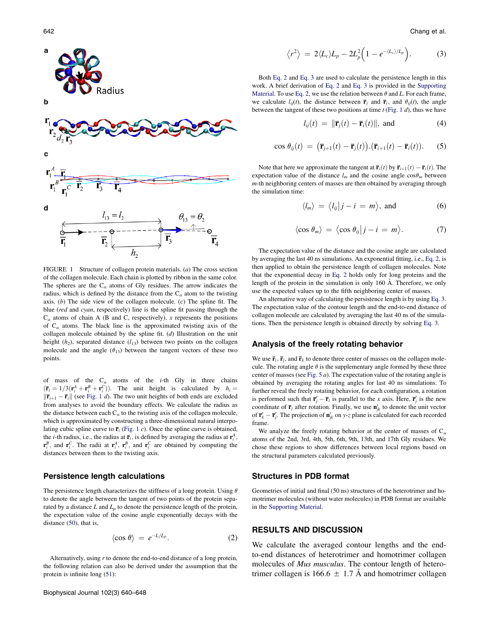<span id="page-2-0"></span>

FIGURE 1 Structure of collagen protein materials. (a) The cross section of the collagen molecule. Each chain is plotted by ribbon in the same color. The spheres are the  $C_{\alpha}$  atoms of Gly residues. The arrow indicates the radius, which is defined by the distance from the  $C_{\alpha}$  atom to the twisting axis. (b) The side view of the collagen molecule.  $(c)$  The spline fit. The blue (red and cyan, respectively) line is the spline fit passing through the  $C_{\alpha}$  atoms of chain A (B and C, respectively). x represents the positions of  $C_{\alpha}$  atoms. The black line is the approximated twisting axis of the collagen molecule obtained by the spline fit. (d) Illustration on the unit height  $(h_2)$ , separated distance  $(l_{13})$  between two points on the collagen molecule and the angle  $(\theta_{13})$  between the tangent vectors of these two points.

of mass of the  $C_{\alpha}$  atoms of the *i*-th Gly in three chains  $(\bar{\mathbf{r}}_i = 1/3(\mathbf{r}_i^A + \mathbf{r}_i^B + \mathbf{r}_i^C))$ . The unit height is calculated by  $h_i =$  $\|\overline{\mathbf{r}}_{i+1} - \overline{\mathbf{r}}_i\|$  (see Fig. 1 d). The two unit heights of both ends are excluded from analyses to avoid the boundary effects. We calculate the radius as the distance between each  $C_{\alpha}$  to the twisting axis of the collagen molecule, which is approximated by constructing a three-dimensional natural interpolating cubic spline curve to  $\bar{\mathbf{r}}_i$  (Fig. 1 c). Once the spline curve is obtained, the *i*-th radius, i.e., the radius at  $\overline{\mathbf{r}}_i$ , is defined by averaging the radius at  $\mathbf{r}_i^A$ ,  $\mathbf{r}_i^B$ , and  $\mathbf{r}_i^C$ . The radii at  $\mathbf{r}_i^A$ ,  $\mathbf{r}_i^B$ , and  $\mathbf{r}_i^C$  are obtained by computing the distances between them to the twisting axis.

#### Persistence length calculations

The persistence length characterizes the stiffness of a long protein. Using  $\theta$ to denote the angle between the tangent of two points of the protein separated by a distance  $L$  and  $L_p$  to denote the persistence length of the protein, the expectation value of the cosine angle exponentially decays with the distance ([50\)](#page-8-0), that is,

$$
\langle \cos \theta \rangle = e^{-L/L_p}.
$$
 (2)

Alternatively, using  $r$  to denote the end-to-end distance of a long protein, the following relation can also be derived under the assumption that the protein is infinite long [\(51](#page-8-0)):

$$
\langle r^2 \rangle = 2 \langle L_c \rangle L_p - 2L_p^2 \Big( 1 - e^{-\langle L_c \rangle / L_p} \Big). \tag{3}
$$

Both Eq. 2 and Eq. 3 are used to calculate the persistence length in this work. A brief derivation of Eq. 2 and Eq. 3 is provided in the [Supporting](#page-6-0) [Material.](#page-6-0) To use Eq. 2, we use the relation between  $\theta$  and L. For each frame, we calculate  $l_{ii}(t)$ , the distance between  $\bar{\mathbf{r}}_i$  and  $\bar{\mathbf{r}}_i$ , and  $\theta_{ii}(t)$ , the angle between the tangent of these two positions at time  $t$  (Fig. 1  $d$ ), thus we have

$$
l_{ij}(t) = \|\overline{\mathbf{r}}_j(t) - \overline{\mathbf{r}}_i(t)\|, \text{ and } (4)
$$

$$
\cos \theta_{ij}(t) = (\overline{\mathbf{r}}_{j+1}(t) - \overline{\mathbf{r}}_j(t)).(\overline{\mathbf{r}}_{i+1}(t) - \overline{\mathbf{r}}_i(t)).
$$
 (5)

Note that here we approximate the tangent at  $\bar{\mathbf{r}}_i(t)$  by  $\bar{\mathbf{r}}_{i+1}(t) - \bar{\mathbf{r}}_i(t)$ . The expectation value of the distance  $l_m$  and the cosine angle  $\cos\theta_m$  between m-th neighboring centers of masses are then obtained by averaging through the simulation time:

$$
\langle l_m \rangle = \langle l_{ij} | j - i = m \rangle, \text{ and } (6)
$$

$$
\langle \cos \theta_m \rangle = \langle \cos \theta_{ij} | j - i = m \rangle. \tag{7}
$$

The expectation value of the distance and the cosine angle are calculated by averaging the last 40 ns simulations. An exponential fitting, i.e., Eq. 2, is then applied to obtain the persistence length of collagen molecules. Note that the exponential decay in Eq. 2 holds only for long proteins and the length of the protein in the simulation is only  $160$  Å. Therefore, we only use the expected values up to the fifth neighboring center of masses.

An alternative way of calculating the persistence length is by using Eq. 3. The expectation value of the contour length and the end-to-end distance of collagen molecule are calculated by averaging the last 40 ns of the simulations. Then the persistence length is obtained directly by solving Eq. 3.

#### Analysis of the freely rotating behavior

We use  $\overline{\mathbf{r}}_i$ ,  $\overline{\mathbf{r}}_j$ , and  $\overline{\mathbf{r}}_k$  to denote three center of masses on the collagen molecule. The rotating angle  $\theta$  is the supplementary angle formed by these three center of masses (see Fig.  $5 a$ ). The expectation value of the rotating angle is obtained by averaging the rotating angles for last 40 ns simulations. To further reveal the freely rotating behavior, for each configuration, a rotation is performed such that  $\overline{\mathbf{r}}'_j - \overline{\mathbf{r}}_i$  is parallel to the x axis. Here,  $\overline{\mathbf{r}}'_j$  is the new coordinate of  $\bar{\mathbf{r}}_j$  after rotation. Finally, we use  $\mathbf{n}'_{jk}$  to denote the unit vector of  $\overline{\mathbf{r}}'_k - \overline{\mathbf{r}}'_j$ . The projection of  $\mathbf{n}'_{jk}$  on y-z plane is calculated for each recorded frame.

We analyze the freely rotating behavior at the center of masses of  $C_{\alpha}$ atoms of the 2nd, 3rd, 4th, 5th, 6th, 9th, 13th, and 17th Gly residues. We chose these regions to show differences between local regions based on the structural parameters calculated previously.

## Structures in PDB format

Geometries of initial and final (50 ns) structures of the heterotrimer and homotrimer molecules (without water molecules) in PDB format are available in the [Supporting Material](#page-6-0).

# RESULTS AND DISCUSSION

We calculate the averaged contour lengths and the endto-end distances of heterotrimer and homotrimer collagen molecules of *Mus musculus*. The contour length of heterotrimer collagen is 166.6  $\pm$  1.7 Å and homotrimer collagen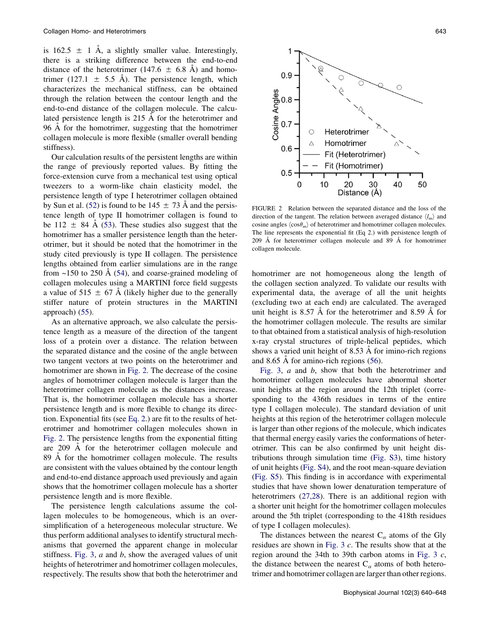is 162.5  $\pm$  1 Å, a slightly smaller value. Interestingly, there is a striking difference between the end-to-end distance of the heterotrimer (147.6  $\pm$  6.8 Å) and homotrimer (127.1  $\pm$  5.5 Å). The persistence length, which characterizes the mechanical stiffness, can be obtained through the relation between the contour length and the end-to-end distance of the collagen molecule. The calculated persistence length is 215 Å for the heterotrimer and 96 A for the homotrimer, suggesting that the homotrimer collagen molecule is more flexible (smaller overall bending stiffness).

Our calculation results of the persistent lengths are within the range of previously reported values. By fitting the force-extension curve from a mechanical test using optical tweezers to a worm-like chain elasticity model, the persistence length of type I heterotrimer collagen obtained by Sun et al. [\(52](#page-8-0)) is found to be  $145 \pm 73$  Å and the persistence length of type II homotrimer collagen is found to be 112  $\pm$  84 Å ([53\)](#page-8-0). These studies also suggest that the homotrimer has a smaller persistence length than the heterotrimer, but it should be noted that the homotrimer in the study cited previously is type II collagen. The persistence lengths obtained from earlier simulations are in the range from  $\sim$ 150 to 250 Å ([54\)](#page-8-0), and coarse-grained modeling of collagen molecules using a MARTINI force field suggests a value of 515  $\pm$  67 Å (likely higher due to the generally stiffer nature of protein structures in the MARTINI approach) ([55\)](#page-8-0).

As an alternative approach, we also calculate the persistence length as a measure of the direction of the tangent loss of a protein over a distance. The relation between the separated distance and the cosine of the angle between two tangent vectors at two points on the heterotrimer and homotrimer are shown in Fig. 2. The decrease of the cosine angles of homotrimer collagen molecule is larger than the heterotrimer collagen molecule as the distances increase. That is, the homotrimer collagen molecule has a shorter persistence length and is more flexible to change its direction. Exponential fits (see [Eq. 2](#page-2-0).) are fit to the results of heterotrimer and homotrimer collagen molecules shown in Fig. 2. The persistence lengths from the exponential fitting are 209 A for the heterotrimer collagen molecule and 89 Å for the homotrimer collagen molecule. The results are consistent with the values obtained by the contour length and end-to-end distance approach used previously and again shows that the homotrimer collagen molecule has a shorter persistence length and is more flexible.

The persistence length calculations assume the collagen molecules to be homogeneous, which is an oversimplification of a heterogeneous molecular structure. We thus perform additional analyses to identify structural mechanisms that governed the apparent change in molecular stiffness. [Fig. 3](#page-4-0),  $a$  and  $b$ , show the averaged values of unit heights of heterotrimer and homotrimer collagen molecules, respectively. The results show that both the heterotrimer and



FIGURE 2 Relation between the separated distance and the loss of the direction of the tangent. The relation between averaged distance  $\langle l_m \rangle$  and cosine angles  $\langle \cos \theta_m \rangle$  of heterotrimer and homotrimer collagen molecules. The line represents the exponential fit (Eq 2.) with persistence length of  $209$  Å for heterotrimer collagen molecule and 89 Å for homotrimer collagen molecule.

homotrimer are not homogeneous along the length of the collagen section analyzed. To validate our results with experimental data, the average of all the unit heights (excluding two at each end) are calculated. The averaged unit height is  $8.57 \text{ Å}$  for the heterotrimer and  $8.59 \text{ Å}$  for the homotrimer collagen molecule. The results are similar to that obtained from a statistical analysis of high-resolution x-ray crystal structures of triple-helical peptides, which shows a varied unit height of  $8.53 \text{ Å}$  for imino-rich regions and 8.65 A for amino-rich regions  $(56)$  $(56)$ .

[Fig. 3](#page-4-0), *a* and *b*, show that both the heterotrimer and homotrimer collagen molecules have abnormal shorter unit heights at the region around the 12th triplet (corresponding to the 436th residues in terms of the entire type I collagen molecule). The standard deviation of unit heights at this region of the heterotrimer collagen molecule is larger than other regions of the molecule, which indicates that thermal energy easily varies the conformations of heterotrimer. This can be also confirmed by unit height distributions through simulation time ([Fig. S3\)](#page-6-0), time history of unit heights [\(Fig. S4\)](#page-6-0), and the root mean-square deviation ([Fig. S5\)](#page-6-0). This finding is in accordance with experimental studies that have shown lower denaturation temperature of heterotrimers ([27,28](#page-7-0)). There is an additional region with a shorter unit height for the homotrimer collagen molecules around the 5th triplet (corresponding to the 418th residues of type I collagen molecules).

The distances between the nearest  $C_{\alpha}$  atoms of the Gly residues are shown in [Fig. 3](#page-4-0) c. The results show that at the region around the 34th to 39th carbon atoms in [Fig. 3](#page-4-0) c, the distance between the nearest  $C_{\alpha}$  atoms of both heterotrimer and homotrimer collagen are larger than other regions.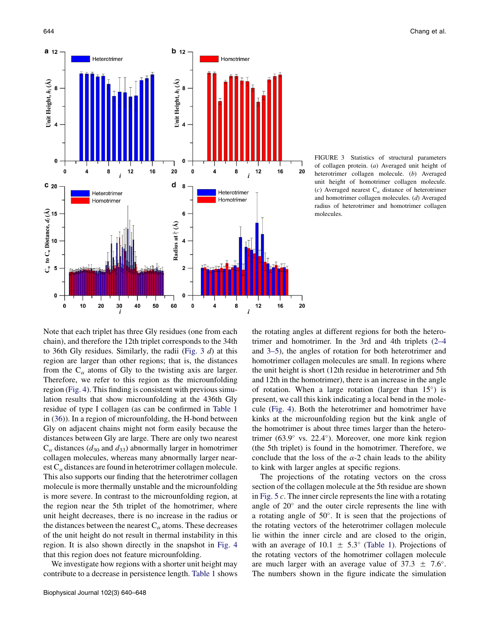<span id="page-4-0"></span>

FIGURE 3 Statistics of structural parameters of collagen protein. (a) Averaged unit height of heterotrimer collagen molecule. (b) Averaged unit height of homotrimer collagen molecule. (c) Averaged nearest  $C_{\alpha}$  distance of heterotrimer and homotrimer collagen molecules. (d) Averaged radius of heterotrimer and homotrimer collagen molecules.

Note that each triplet has three Gly residues (one from each chain), and therefore the 12th triplet corresponds to the 34th to 36th Gly residues. Similarly, the radii (Fig.  $3 d$ ) at this region are larger than other regions; that is, the distances from the  $C_\alpha$  atoms of Gly to the twisting axis are larger. Therefore, we refer to this region as the microunfolding region ([Fig. 4\)](#page-5-0). This finding is consistent with previous simulation results that show microunfolding at the 436th Gly residue of type I collagen (as can be confirmed in [Table 1](#page-5-0) in ([36\)](#page-7-0)). In a region of microunfolding, the H-bond between Gly on adjacent chains might not form easily because the distances between Gly are large. There are only two nearest  $C_{\alpha}$  distances ( $d_{30}$  and  $d_{33}$ ) abnormally larger in homotrimer collagen molecules, whereas many abnormally larger nearest  $C_{\alpha}$  distances are found in heterotrimer collagen molecule. This also supports our finding that the heterotrimer collagen molecule is more thermally unstable and the microunfolding is more severe. In contrast to the microunfolding region, at the region near the 5th triplet of the homotrimer, where unit height decreases, there is no increase in the radius or the distances between the nearest  $C_\alpha$  atoms. These decreases of the unit height do not result in thermal instability in this region. It is also shown directly in the snapshot in [Fig. 4](#page-5-0) that this region does not feature microunfolding.

We investigate how regions with a shorter unit height may contribute to a decrease in persistence length. [Table 1](#page-5-0) shows the rotating angles at different regions for both the heterotrimer and homotrimer. In the 3rd and 4th triplets ([2–4](#page-7-0) and [3–5\)](#page-7-0), the angles of rotation for both heterotrimer and homotrimer collagen molecules are small. In regions where the unit height is short (12th residue in heterotrimer and 5th and 12th in the homotrimer), there is an increase in the angle of rotation. When a large rotation (larger than  $15^{\circ}$ ) is present, we call this kink indicating a local bend in the molecule [\(Fig. 4\)](#page-5-0). Both the heterotrimer and homotrimer have kinks at the microunfolding region but the kink angle of the homotrimer is about three times larger than the heterotrimer (63.9° vs. 22.4°). Moreover, one more kink region (the 5th triplet) is found in the homotrimer. Therefore, we conclude that the loss of the  $\alpha$ -2 chain leads to the ability to kink with larger angles at specific regions.

The projections of the rotating vectors on the cross section of the collagen molecule at the 5th residue are shown in [Fig. 5](#page-5-0) c. The inner circle represents the line with a rotating angle of  $20^{\circ}$  and the outer circle represents the line with a rotating angle of  $50^\circ$ . It is seen that the projections of the rotating vectors of the heterotrimer collagen molecule lie within the inner circle and are closed to the origin, with an average of 10.1  $\pm$  5.3° ([Table 1\)](#page-5-0). Projections of the rotating vectors of the homotrimer collagen molecule are much larger with an average value of  $37.3 \pm 7.6^{\circ}$ . The numbers shown in the figure indicate the simulation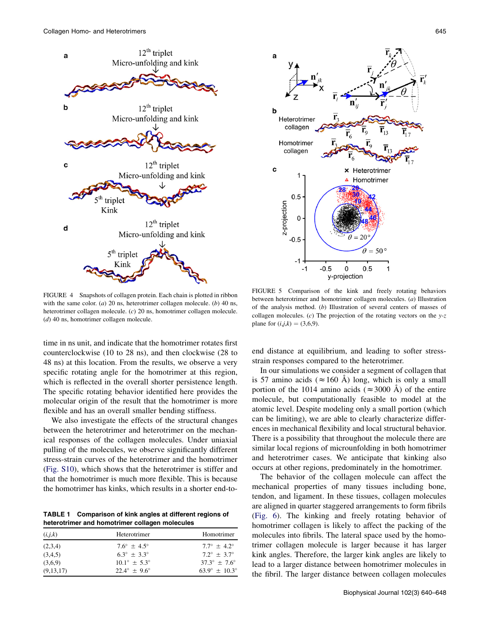<span id="page-5-0"></span>



FIGURE 4 Snapshots of collagen protein. Each chain is plotted in ribbon with the same color. (a) 20 ns, heterotrimer collagen molecule. (b) 40 ns, heterotrimer collagen molecule. (c) 20 ns, homotrimer collagen molecule. (d) 40 ns, homotrimer collagen molecule.

time in ns unit, and indicate that the homotrimer rotates first counterclockwise (10 to 28 ns), and then clockwise (28 to 48 ns) at this location. From the results, we observe a very specific rotating angle for the homotrimer at this region, which is reflected in the overall shorter persistence length. The specific rotating behavior identified here provides the molecular origin of the result that the homotrimer is more flexible and has an overall smaller bending stiffness.

We also investigate the effects of the structural changes between the heterotrimer and heterotrimer on the mechanical responses of the collagen molecules. Under uniaxial pulling of the molecules, we observe significantly different stress-strain curves of the heterotrimer and the homotrimer ([Fig. S10](#page-6-0)), which shows that the heterotrimer is stiffer and that the homotrimer is much more flexible. This is because the homotrimer has kinks, which results in a shorter end-to-

TABLE 1 Comparison of kink angles at different regions of heterotrimer and homotrimer collagen molecules

| (i,j,k)   | Heterotrimer                 | Homotrimer                    |
|-----------|------------------------------|-------------------------------|
| (2,3,4)   | $7.6^{\circ} + 4.5^{\circ}$  | $7.7^{\circ} + 4.2^{\circ}$   |
| (3,4,5)   | $63^{\circ} + 33^{\circ}$    | $7.2^{\circ} + 3.7^{\circ}$   |
| (3,6,9)   | $10.1^{\circ} + 5.3^{\circ}$ | $37.3^{\circ} + 7.6^{\circ}$  |
| (9,13,17) | $22.4^{\circ} + 9.6^{\circ}$ | $63.9^{\circ} + 10.3^{\circ}$ |

FIGURE 5 Comparison of the kink and freely rotating behaviors between heterotrimer and homotrimer collagen molecules. (a) Illustration of the analysis method. (b) Illustration of several centers of masses of collagen molecules. (c) The projection of the rotating vectors on the  $y-z$ plane for  $(i,j,k) = (3,6,9)$ .

end distance at equilibrium, and leading to softer stressstrain responses compared to the heterotrimer.

In our simulations we consider a segment of collagen that is 57 amino acids ( $\approx$  160 Å) long, which is only a small portion of the 1014 amino acids ( $\approx$  3000 Å) of the entire molecule, but computationally feasible to model at the atomic level. Despite modeling only a small portion (which can be limiting), we are able to clearly characterize differences in mechanical flexibility and local structural behavior. There is a possibility that throughout the molecule there are similar local regions of microunfolding in both homotrimer and heterotrimer cases. We anticipate that kinking also occurs at other regions, predominately in the homotrimer.

The behavior of the collagen molecule can affect the mechanical properties of many tissues including bone, tendon, and ligament. In these tissues, collagen molecules are aligned in quarter staggered arrangements to form fibrils ([Fig. 6\)](#page-6-0). The kinking and freely rotating behavior of homotrimer collagen is likely to affect the packing of the molecules into fibrils. The lateral space used by the homotrimer collagen molecule is larger because it has larger kink angles. Therefore, the larger kink angles are likely to lead to a larger distance between homotrimer molecules in the fibril. The larger distance between collagen molecules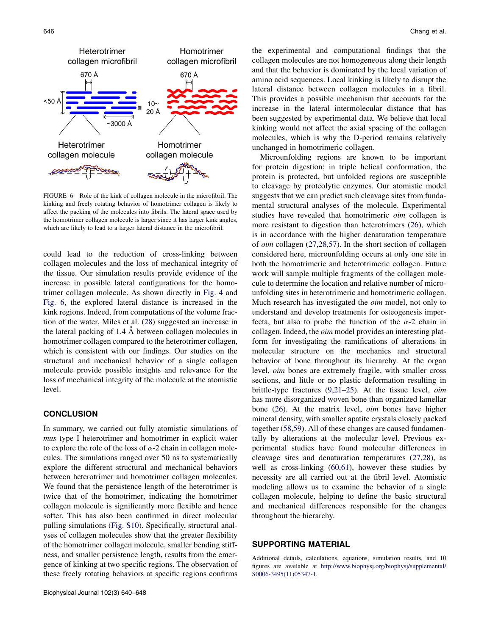<span id="page-6-0"></span>

FIGURE 6 Role of the kink of collagen molecule in the microfibril. The kinking and freely rotating behavior of homotrimer collagen is likely to affect the packing of the molecules into fibrils. The lateral space used by the homotrimer collagen molecule is larger since it has larger kink angles, which are likely to lead to a larger lateral distance in the microfibril.

could lead to the reduction of cross-linking between collagen molecules and the loss of mechanical integrity of the tissue. Our simulation results provide evidence of the increase in possible lateral configurations for the homotrimer collagen molecule. As shown directly in [Fig. 4](#page-5-0) and Fig. 6, the explored lateral distance is increased in the kink regions. Indeed, from computations of the volume fraction of the water, Miles et al. ([28\)](#page-7-0) suggested an increase in the lateral packing of 1.4 A between collagen molecules in homotrimer collagen compared to the heterotrimer collagen, which is consistent with our findings. Our studies on the structural and mechanical behavior of a single collagen molecule provide possible insights and relevance for the loss of mechanical integrity of the molecule at the atomistic level.

#### **CONCLUSION**

In summary, we carried out fully atomistic simulations of mus type I heterotrimer and homotrimer in explicit water to explore the role of the loss of  $\alpha$ -2 chain in collagen molecules. The simulations ranged over 50 ns to systematically explore the different structural and mechanical behaviors between heterotrimer and homotrimer collagen molecules. We found that the persistence length of the heterotrimer is twice that of the homotrimer, indicating the homotrimer collagen molecule is significantly more flexible and hence softer. This has also been confirmed in direct molecular pulling simulations (Fig. S10). Specifically, structural analyses of collagen molecules show that the greater flexibility of the homotrimer collagen molecule, smaller bending stiffness, and smaller persistence length, results from the emergence of kinking at two specific regions. The observation of these freely rotating behaviors at specific regions confirms the experimental and computational findings that the collagen molecules are not homogeneous along their length and that the behavior is dominated by the local variation of amino acid sequences. Local kinking is likely to disrupt the lateral distance between collagen molecules in a fibril. This provides a possible mechanism that accounts for the increase in the lateral intermolecular distance that has been suggested by experimental data. We believe that local kinking would not affect the axial spacing of the collagen molecules, which is why the D-period remains relatively unchanged in homotrimeric collagen.

Microunfolding regions are known to be important for protein digestion; in triple helical conformation, the protein is protected, but unfolded regions are susceptible to cleavage by proteolytic enzymes. Our atomistic model suggests that we can predict such cleavage sites from fundamental structural analyses of the molecule. Experimental studies have revealed that homotrimeric oim collagen is more resistant to digestion than heterotrimers ([26\)](#page-7-0), which is in accordance with the higher denaturation temperature of oim collagen ([27,28,57\)](#page-7-0). In the short section of collagen considered here, microunfolding occurs at only one site in both the homotrimeric and heterotrimeric collagen. Future work will sample multiple fragments of the collagen molecule to determine the location and relative number of microunfolding sites in heterotrimeric and homotrimeric collagen. Much research has investigated the *oim* model, not only to understand and develop treatments for osteogenesis imperfecta, but also to probe the function of the  $\alpha$ -2 chain in collagen. Indeed, the *oim* model provides an interesting platform for investigating the ramifications of alterations in molecular structure on the mechanics and structural behavior of bone throughout its hierarchy. At the organ level, oim bones are extremely fragile, with smaller cross sections, and little or no plastic deformation resulting in brittle-type fractures ([9,21–25](#page-7-0)). At the tissue level, oim has more disorganized woven bone than organized lamellar bone ([26\)](#page-7-0). At the matrix level, oim bones have higher mineral density, with smaller apatite crystals closely packed together ([58,59](#page-8-0)). All of these changes are caused fundamentally by alterations at the molecular level. Previous experimental studies have found molecular differences in cleavage sites and denaturation temperatures ([27,28](#page-7-0)), as well as cross-linking ([60,61](#page-8-0)), however these studies by necessity are all carried out at the fibril level. Atomistic modeling allows us to examine the behavior of a single collagen molecule, helping to define the basic structural and mechanical differences responsible for the changes throughout the hierarchy.

## SUPPORTING MATERIAL

Additional details, calculations, equations, simulation results, and 10 figures are available at [http://www.biophysj.org/biophysj/supplemental/](http://www.biophysj.org/biophysj/supplemental/S0006-3495(11)05347-1) [S0006-3495\(11\)05347-1](http://www.biophysj.org/biophysj/supplemental/S0006-3495(11)05347-1).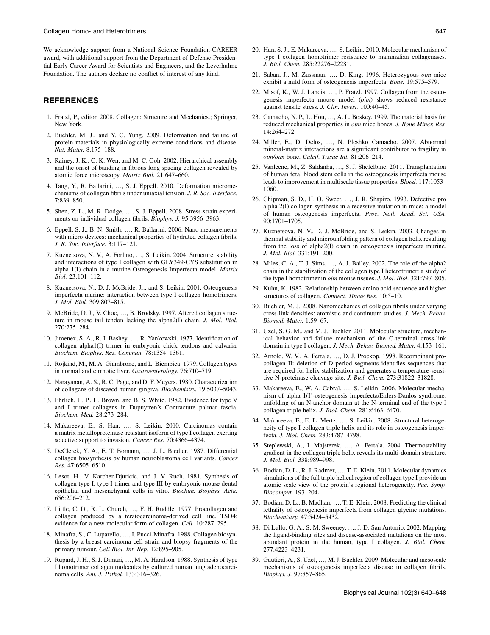<span id="page-7-0"></span>We acknowledge support from a National Science Foundation-CAREER award, with additional support from the Department of Defense-Presidential Early Career Award for Scientists and Engineers, and the Leverhulme Foundation. The authors declare no conflict of interest of any kind.

#### REFERENCES

- 1. Fratzl, P., editor. 2008. Collagen: Structure and Mechanics.; Springer, New York.
- 2. Buehler, M. J., and Y. C. Yung. 2009. Deformation and failure of protein materials in physiologically extreme conditions and disease. Nat. Mater. 8:175–188.
- 3. Rainey, J. K., C. K. Wen, and M. C. Goh. 2002. Hierarchical assembly and the onset of banding in fibrous long spacing collagen revealed by atomic force microscopy. Matrix Biol. 21:647–660.
- 4. Tang, Y., R. Ballarini, ..., S. J. Eppell. 2010. Deformation micromechanisms of collagen fibrils under uniaxial tension. J. R. Soc. Interface. 7:839–850.
- 5. Shen, Z. L., M. R. Dodge, ..., S. J. Eppell. 2008. Stress-strain experiments on individual collagen fibrils. Biophys. J. 95:3956–3963.
- 6. Eppell, S. J., B. N. Smith, ., R. Ballarini. 2006. Nano measurements with micro-devices: mechanical properties of hydrated collagen fibrils. J. R. Soc. Interface. 3:117–121.
- 7. Kuznetsova, N. V., A. Forlino, ..., S. Leikin. 2004. Structure, stability and interactions of type I collagen with GLY349-CYS substitution in alpha 1(I) chain in a murine Osteogenesis Imperfecta model. Matrix Biol. 23:101–112.
- 8. Kuznetsova, N., D. J. McBride, Jr., and S. Leikin. 2001. Osteogenesis imperfecta murine: interaction between type I collagen homotrimers. J. Mol. Biol. 309:807–815.
- 9. McBride, D. J., V. Choe, ..., B. Brodsky. 1997. Altered collagen structure in mouse tail tendon lacking the alpha2(I) chain. J. Mol. Biol. 270:275–284.
- 10. Jimenez, S. A., R. I. Bashey, ., R. Yankowski. 1977. Identification of collagen alpha1(I) trimer in embryonic chick tendons and calvaria. Biochem. Biophys. Res. Commun. 78:1354–1361.
- 11. Rojkind, M., M. A. Giambrone, and L. Biempica. 1979. Collagen types in normal and cirrhotic liver. Gastroenterology. 76:710–719.
- 12. Narayanan, A. S., R. C. Page, and D. F. Meyers. 1980. Characterization of collagens of diseased human gingiva. Biochemistry. 19:5037–5043.
- 13. Ehrlich, H. P., H. Brown, and B. S. White. 1982. Evidence for type V and I trimer collagens in Dupuytren's Contracture palmar fascia. Biochem. Med. 28:273–284.
- 14. Makareeva, E., S. Han, ..., S. Leikin. 2010. Carcinomas contain a matrix metalloproteinase-resistant isoform of type I collagen exerting selective support to invasion. Cancer Res. 70:4366-4374.
- 15. DeClerck, Y. A., E. T. Bomann, ..., J. L. Biedler. 1987. Differential collagen biosynthesis by human neuroblastoma cell variants. Cancer Res. 47:6505–6510.
- 16. Lesot, H., V. Karcher-Djuricic, and J. V. Ruch. 1981. Synthesis of collagen type I, type I trimer and type III by embryonic mouse dental epithelial and mesenchymal cells in vitro. Biochim. Biophys. Acta. 656:206–212.
- 17. Little, C. D., R. L. Church, ..., F. H. Ruddle. 1977. Procollagen and collagen produced by a teratocarcinoma-derived cell line, TSD4: evidence for a new molecular form of collagen. Cell. 10:287–295.
- 18. Minafra, S., C. Luparello, ..., I. Pucci-Minafra. 1988. Collagen biosynthesis by a breast carcinoma cell strain and biopsy fragments of the primary tumour. Cell Biol. Int. Rep. 12:895–905.
- 19. Rupard, J. H., S. J. Dimari, ..., M. A. Haralson. 1988. Synthesis of type I homotrimer collagen molecules by cultured human lung adenocarcinoma cells. Am. J. Pathol. 133:316–326.
- 
- 20. Han, S. J., E. Makareeva, ..., S. Leikin. 2010. Molecular mechanism of type I collagen homotrimer resistance to mammalian collagenases. J. Biol. Chem. 285:22276–22281.
- 21. Saban, J., M. Zussman, ..., D. King. 1996. Heterozygous oim mice exhibit a mild form of osteogenesis imperfecta. Bone. 19:575–579.
- 22. Misof, K., W. J. Landis, ..., P. Fratzl. 1997. Collagen from the osteogenesis imperfecta mouse model (oim) shows reduced resistance against tensile stress. J. Clin. Invest. 100:40–45.
- 23. Camacho, N. P., L. Hou, ..., A. L. Boskey. 1999. The material basis for reduced mechanical properties in oim mice bones. J. Bone Miner. Res. 14:264–272.
- 24. Miller, E., D. Delos, ..., N. Pleshko Camacho. 2007. Abnormal mineral-matrix interactions are a significant contributor to fragility in oim/oim bone. Calcif. Tissue Int. 81:206–214.
- 25. Vanleene, M., Z. Saldanha, ., S. J. Shefelbine. 2011. Transplantation of human fetal blood stem cells in the osteogenesis imperfecta mouse leads to improvement in multiscale tissue properties. Blood. 117:1053– 1060.
- 26. Chipman, S. D., H. O. Sweet, ., J. R. Shapiro. 1993. Defective pro alpha 2(I) collagen synthesis in a recessive mutation in mice: a model of human osteogenesis imperfecta. Proc. Natl. Acad. Sci. USA. 90:1701–1705.
- 27. Kuznetsova, N. V., D. J. McBride, and S. Leikin. 2003. Changes in thermal stability and microunfolding pattern of collagen helix resulting from the loss of alpha2(I) chain in osteogenesis imperfecta murine. J. Mol. Biol. 331:191–200.
- 28. Miles, C. A., T. J. Sims, ., A. J. Bailey. 2002. The role of the alpha2 chain in the stabilization of the collagen type I heterotrimer: a study of the type I homotrimer in oim mouse tissues. J. Mol. Biol. 321:797–805.
- 29. Kühn, K. 1982. Relationship between amino acid sequence and higher structures of collagen. Connect. Tissue Res. 10:5-10.
- 30. Buehler, M. J. 2008. Nanomechanics of collagen fibrils under varying cross-link densities: atomistic and continuum studies. J. Mech. Behav. Biomed. Mater. 1:59–67.
- 31. Uzel, S. G. M., and M. J. Buehler. 2011. Molecular structure, mechanical behavior and failure mechanism of the C-terminal cross-link domain in type I collagen. J. Mech. Behav. Biomed. Mater. 4:153–161.
- 32. Arnold, W. V., A. Fertala, ..., D. J. Prockop. 1998. Recombinant procollagen II: deletion of D period segments identifies sequences that are required for helix stabilization and generates a temperature-sensitive N-proteinase cleavage site. J. Biol. Chem. 273:31822–31828.
- 33. Makareeva, E., W. A. Cabral, ..., S. Leikin. 2006. Molecular mechanism of alpha 1(I)-osteogenesis imperfecta/Ehlers-Danlos syndrome: unfolding of an N-anchor domain at the N-terminal end of the type I collagen triple helix. J. Biol. Chem. 281:6463–6470.
- 34. Makareeva, E., E. L. Mertz, ., S. Leikin. 2008. Structural heterogeneity of type I collagen triple helix and its role in osteogenesis imperfecta. J. Biol. Chem. 283:4787–4798.
- 35. Steplewski, A., I. Majsterek, ..., A. Fertala. 2004. Thermostability gradient in the collagen triple helix reveals its multi-domain structure. J. Mol. Biol. 338:989–998.
- 36. Bodian, D. L., R. J. Radmer, ., T. E. Klein. 2011. Molecular dynamics simulations of the full triple helical region of collagen type I provide an atomic scale view of the protein's regional heterogeneity. Pac. Symp. Biocomput. 193–204.
- 37. Bodian, D. L., B. Madhan, ..., T. E. Klein. 2008. Predicting the clinical lethality of osteogenesis imperfecta from collagen glycine mutations. Biochemistry. 47:5424–5432.
- 38. Di Lullo, G. A., S. M. Sweeney, ., J. D. San Antonio. 2002. Mapping the ligand-binding sites and disease-associated mutations on the most abundant protein in the human, type I collagen. J. Biol. Chem. 277:4223–4231.
- 39. Gautieri, A., S. Uzel, ., M. J. Buehler. 2009. Molecular and mesoscale mechanisms of osteogenesis imperfecta disease in collagen fibrils. Biophys. J. 97:857–865.